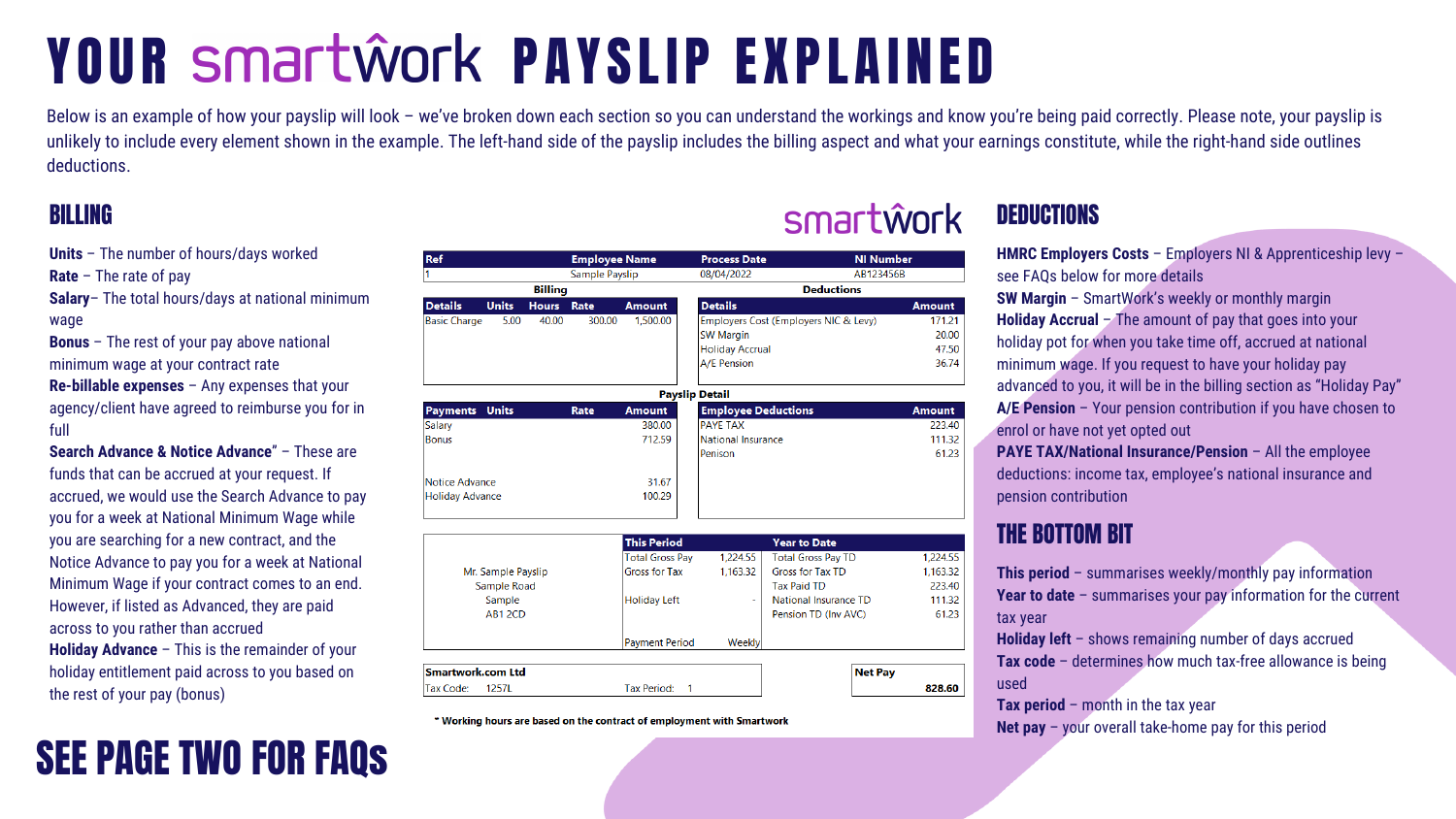# YOUR Smartwork PAYSLIP EXPLAINED

Ref

**Units** – The number of hours/days worked

**Rate** – The rate of pay

**Salary**– The total hours/days at national minimum wage

**Bonus** – The rest of your pay above national minimum wage at your contract rate

**Re-billable expenses** – Any expenses that your agency/client have agreed to reimburse you for in full

**Search Advance & Notice Advance**" – These are funds that can be accrued at your request. If accrued, we would use the Search Advance to pay you for a week at National Minimum Wage while you are searching for a new contract, and the Notice Advance to pay you for a week at National Minimum Wage if your contract comes to an end. However, if listed as Advanced, they are paid across to you rather than accrued **Holiday Advance** – This is the remainder of your holiday entitlement paid across to you based on the rest of your pay (bonus)

#### Sample Payslip 08/04/2022 AB123456B **Billing Deductions Units Amount Details Details Hours** Rate Employers Cost (Employers NIC & Levy) 5.00 300.00 1.500.00 **Basic Charge** 40.00 **SW Margin Holiday Accrual A/E Pension Payslip Detail Payments Units Employee Deductions** Rate **Amount** 380.00 **PAYE TAX** Salary 712.59 **Bonus** National Insurance Penison **Notice Advance** 31.67 100.29 **Holiday Advance This Period Year to Date Total Gross Pay** 1,224.55 **Total Gross Pay TD Gross for Tax TD** Gross for Tax 1,163.32 Mr. Sample Payslip Sample Road **Tax Paid TD** Sample **Holiday Left** National Insurance TD AB1 2CD Pension TD (Inv AVC) **Payment Period** Weekly Smartwork.com Ltd **Net Pay** Tax Code: 1257L Tax Period:

**Employee Name** 

\* Working hours are based on the contract of employment with Smartwork

Below is an example of how your payslip will look - we've broken down each section so you can understand the workings and know you're being paid correctly. Please note, your payslip is unlikely to include every element shown in the example. The left-hand side of the payslip includes the billing aspect and what your earnings constitute, while the right-hand side outlines deductions.

**Process Date** 

# SEE PAGE TWO FOR FAQs

## BILLING SMATTWOFK DEDUCTIONS

**NI Number** 



| Amount |
|--------|
| 171.21 |
| 20.00  |
| 47.50  |
| 36.74  |
|        |

| Amount |
|--------|
| 223.40 |
| 111.32 |
| 61.23  |
|        |

| 1,224.55 |
|----------|
| 1,163.32 |
| 223.40   |
| 111.32   |
| 61.23    |
|          |

828.60

**HMRC Employers Costs** – Employers NI & Apprenticeship levy – see FAQs below for more details

**SW Margin** – SmartWork's weekly or monthly margin **Holiday Accrual** – The amount of pay that goes into your holiday pot for when you take time off, accrued at national minimum wage. If you request to have your holiday pay advanced to you, it will be in the billing section as "Holiday Pay" **A/E Pension** – Your pension contribution if you have chosen to enrol or have not yet opted out

**PAYE TAX/National Insurance/Pension** – All the employee deductions: income tax, employee's national insurance and pension contribution

**This period** – summarises weekly/monthly pay information **Year to date** – summarises your pay information for the current tax year

**Holiday left** – shows remaining number of days accrued **Tax code** – determines how much tax-free allowance is being used

**Tax period** – month in the tax year **Net pay** – your overall take-home pay for this period

## THE BOTTOM BIT